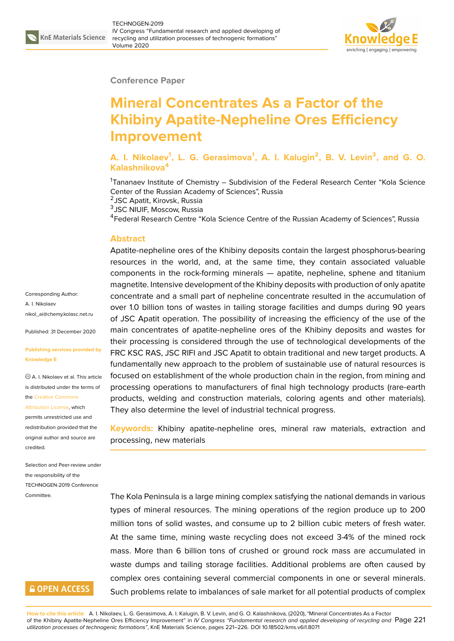

#### **Conference Paper**

# **Mineral Concentrates As a Factor of the Khibiny Apatite-Nepheline Ores Efficiency Improvement**

### **A. I. Nikolaev<sup>1</sup> , L. G. Gerasimova<sup>1</sup> , A. I. Kalugin<sup>2</sup> , B. V. Levin<sup>3</sup> , and G. O. Kalashnikova<sup>4</sup>**

<sup>1</sup>Tananaev Institute of Chemistry – Subdivision of the Federal Research Center "Kola Science Center of the Russian Academy of Sciences", Russia

<sup>2</sup>JSC Apatit, Kirovsk, Russia

3 JSC NIUIF, Moscow, Russia

<sup>4</sup>Federal Research Centre "Kola Science Centre of the Russian Academy of Sciences", Russia

#### **Abstract**

Apatite-nepheline ores of the Khibiny deposits contain the largest phosphorus-bearing resources in the world, and, at the same time, they contain associated valuable components in the rock-forming minerals — apatite, nepheline, sphene and titanium magnetite. Intensive development of the Khibiny deposits with production of only apatite concentrate and a small part of nepheline concentrate resulted in the accumulation of over 1.0 billion tons of wastes in tailing storage facilities and dumps during 90 years of JSC Apatit operation. The possibility of increasing the efficiency of the use of the main concentrates of apatite-nepheline ores of the Khibiny deposits and wastes for their processing is considered through the use of technological developments of the FRC KSC RAS, JSC RIFI and JSC Apatit to obtain traditional and new target products. A fundamentally new approach to the problem of sustainable use of natural resources is focused on establishment of the whole production chain in the region, from mining and processing operations to manufacturers of final high technology products (rare-earth products, welding and construction materials, coloring agents and other materials). They also determine the level of industrial technical progress.

**Keywords:** Khibiny apatite-nepheline ores, mineral raw materials, extraction and processing, new materials

The Kola Peninsula is a large mining complex satisfying the national demands in various types of mineral resources. The mining operations of the region produce up to 200 million tons of solid wastes, and consume up to 2 billion cubic meters of fresh water. At the same time, mining waste recycling does not exceed 3-4% of the mined rock mass. More than 6 billion tons of crushed or ground rock mass are accumulated in waste dumps and tailing storage facilities. Additional problems are often caused by complex ores containing several commercial components in one or several minerals. Such problems relate to imbalances of sale market for all potential products of complex

Corresponding Author: A. I. Nikolaev nikol\_ai@chemy.kolasc.net.ru

Published: 31 December 2020

#### **[Publishing services provided](mailto:nikol_ai@chemy.kolasc.net.ru) by Knowledge E**

A. I. Nikolaev et al. This article is distributed under the terms of the Creative Commons

#### Attribution License, which

permits unrestricted use and redistribution provided that the orig[inal author and sou](https://creativecommons.org/licenses/by/4.0/)rce are [credited.](https://creativecommons.org/licenses/by/4.0/)

Selection and Peer-review under the responsibility of the TECHNOGEN-2019 Conference Committee.

### **GOPEN ACCESS**

**How to cite this article**: A. I. Nikolaev, L. G. Gerasimova, A. I. Kalugin, B. V. Levin, and G. O. Kalashnikova, (2020), "Mineral Concentrates As a Factor of the Khibiny Apatite-Nepheline Ores Efficiency Improvement" in *IV Congress "Fundamental research and applied developing of recycling and* Page 221 *utilization processes of technogenic formations"*, KnE Materials Science, pages 221–226. DOI 10.18502/kms.v6i1.8071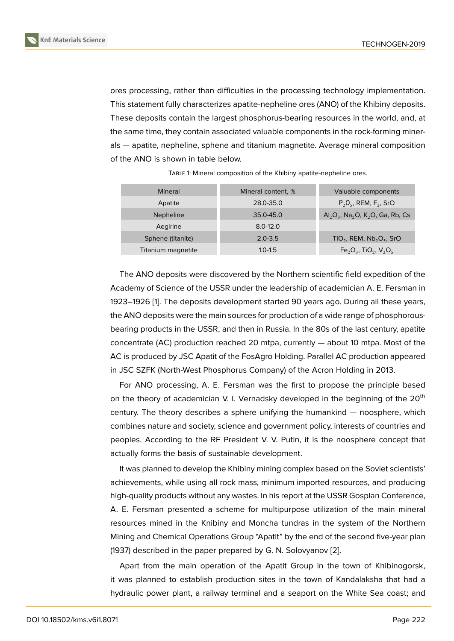ores processing, rather than difficulties in the processing technology implementation. This statement fully characterizes apatite-nepheline ores (ANO) of the Khibiny deposits. These deposits contain the largest phosphorus-bearing resources in the world, and, at the same time, they contain associated valuable components in the rock-forming minerals — apatite, nepheline, sphene and titanium magnetite. Average mineral composition of the ANO is shown in table below.

| Mineral            | Mineral content, % | Valuable components                                          |
|--------------------|--------------------|--------------------------------------------------------------|
| Apatite            | 28.0-35.0          | $P_2O_5$ , REM, $F_2$ , SrO                                  |
| <b>Nepheline</b>   | 35.0-45.0          | $Al_2O_3$ , Na <sub>2</sub> O, K <sub>2</sub> O, Ga, Rb, Cs  |
| Aegirine           | $8.0 - 12.0$       |                                                              |
| Sphene (titanite)  | $2.0 - 3.5$        | $TiO2$ , REM, Nb <sub>2</sub> O <sub>5</sub> , SrO           |
| Titanium magnetite | $1.0 - 1.5$        | $Fe_2O_3$ , TiO <sub>2</sub> , V <sub>2</sub> O <sub>5</sub> |

TABLE 1: Mineral composition of the Khibiny apatite-nepheline ores.

The ANO deposits were discovered by the Northern scientific field expedition of the Academy of Science of the USSR under the leadership of academician A. E. Fersman in 1923–1926 [1]. The deposits development started 90 years ago. During all these years, the ANO deposits were the main sources for production of a wide range of phosphorousbearing products in the USSR, and then in Russia. In the 80s of the last century, apatite concentrate [\(](#page-4-0)AC) production reached 20 mtpa, currently — about 10 mtpa. Most of the AC is produced by JSC Apatit of the FosAgro Holding. Parallel AC production appeared in JSC SZFK (North-West Phosphorus Company) of the Acron Holding in 2013.

For ANO processing, A. E. Fersman was the first to propose the principle based on the theory of academician V. I. Vernadsky developed in the beginning of the  $20<sup>th</sup>$ century. The theory describes a sphere unifying the humankind — noosphere, which combines nature and society, science and government policy, interests of countries and peoples. According to the RF President V. V. Putin, it is the noosphere concept that actually forms the basis of sustainable development.

It was planned to develop the Khibiny mining complex based on the Soviet scientists' achievements, while using all rock mass, minimum imported resources, and producing high-quality products without any wastes. In his report at the USSR Gosplan Conference, A. E. Fersman presented a scheme for multipurpose utilization of the main mineral resources mined in the Knibiny and Moncha tundras in the system of the Northern Mining and Chemical Operations Group "Apatit" by the end of the second five-year plan (1937) described in the paper prepared by G. N. Solovyanov [2].

Apart from the main operation of the Apatit Group in the town of Khibinogorsk, it was planned to establish production sites in the town of Kandalaksha that had a hydraulic power plant, a railway terminal and a seaport on [th](#page-4-1)e White Sea coast; and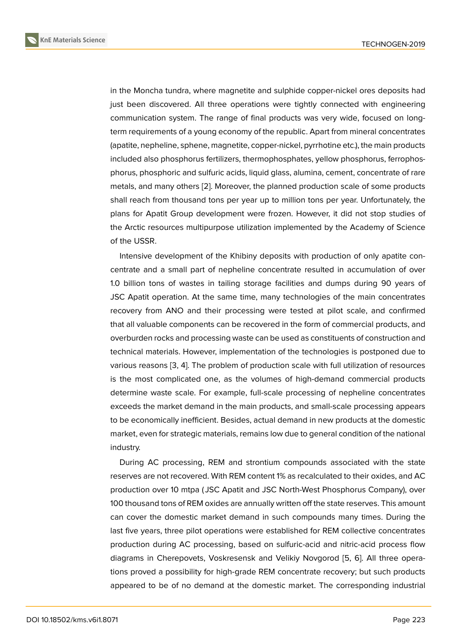in the Moncha tundra, where magnetite and sulphide copper-nickel ores deposits had just been discovered. All three operations were tightly connected with engineering communication system. The range of final products was very wide, focused on longterm requirements of a young economy of the republic. Apart from mineral concentrates (apatite, nepheline, sphene, magnetite, copper-nickel, pyrrhotine etc.), the main products included also phosphorus fertilizers, thermophosphates, yellow phosphorus, ferrophosphorus, phosphoric and sulfuric acids, liquid glass, alumina, cement, concentrate of rare metals, and many others [2]. Moreover, the planned production scale of some products shall reach from thousand tons per year up to million tons per year. Unfortunately, the plans for Apatit Group development were frozen. However, it did not stop studies of the Arctic resources mult[ipu](#page-4-1)rpose utilization implemented by the Academy of Science of the USSR.

Intensive development of the Khibiny deposits with production of only apatite concentrate and a small part of nepheline concentrate resulted in accumulation of over 1.0 billion tons of wastes in tailing storage facilities and dumps during 90 years of JSC Apatit operation. At the same time, many technologies of the main concentrates recovery from ANO and their processing were tested at pilot scale, and confirmed that all valuable components can be recovered in the form of commercial products, and overburden rocks and processing waste can be used as constituents of construction and technical materials. However, implementation of the technologies is postponed due to various reasons [3, 4]. The problem of production scale with full utilization of resources is the most complicated one, as the volumes of high-demand commercial products determine waste scale. For example, full-scale processing of nepheline concentrates exceeds the mar[ke](#page-5-0)[t d](#page-5-1)emand in the main products, and small-scale processing appears to be economically inefficient. Besides, actual demand in new products at the domestic market, even for strategic materials, remains low due to general condition of the national industry.

During AC processing, REM and strontium compounds associated with the state reserves are not recovered. With REM content 1% as recalculated to their oxides, and AC production over 10 mtpa ( JSC Apatit and JSC North-West Phosphorus Company), over 100 thousand tons of REM oxides are annually written off the state reserves. This amount can cover the domestic market demand in such compounds many times. During the last five years, three pilot operations were established for REM collective concentrates production during AC processing, based on sulfuric-acid and nitric-acid process flow diagrams in Cherepovets, Voskresensk and Velikiy Novgorod [5, 6]. All three operations proved a possibility for high-grade REM concentrate recovery; but such products appeared to be of no demand at the domestic market. The corresponding industrial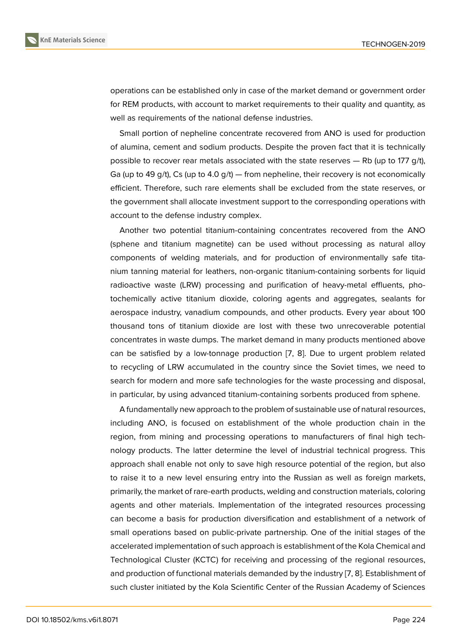operations can be established only in case of the market demand or government order for REM products, with account to market requirements to their quality and quantity, as well as requirements of the national defense industries.

Small portion of nepheline concentrate recovered from ANO is used for production of alumina, cement and sodium products. Despite the proven fact that it is technically possible to recover rear metals associated with the state reserves — Rb (up to 177 g/t), Ga (up to 49 g/t), Cs (up to 4.0 g/t) — from nepheline, their recovery is not economically efficient. Therefore, such rare elements shall be excluded from the state reserves, or the government shall allocate investment support to the corresponding operations with account to the defense industry complex.

Another two potential titanium-containing concentrates recovered from the ANO (sphene and titanium magnetite) can be used without processing as natural alloy components of welding materials, and for production of environmentally safe titanium tanning material for leathers, non-organic titanium-containing sorbents for liquid radioactive waste (LRW) processing and purification of heavy-metal effluents, photochemically active titanium dioxide, coloring agents and aggregates, sealants for aerospace industry, vanadium compounds, and other products. Every year about 100 thousand tons of titanium dioxide are lost with these two unrecoverable potential concentrates in waste dumps. The market demand in many products mentioned above can be satisfied by a low-tonnage production [7, 8]. Due to urgent problem related to recycling of LRW accumulated in the country since the Soviet times, we need to search for modern and more safe technologies for the waste processing and disposal, in particular, by using advanced titanium-contain[in](#page-5-2)[g s](#page-5-3)orbents produced from sphene.

A fundamentally new approach to the problem of sustainable use of natural resources, including ANO, is focused on establishment of the whole production chain in the region, from mining and processing operations to manufacturers of final high technology products. The latter determine the level of industrial technical progress. This approach shall enable not only to save high resource potential of the region, but also to raise it to a new level ensuring entry into the Russian as well as foreign markets, primarily, the market of rare-earth products, welding and construction materials, coloring agents and other materials. Implementation of the integrated resources processing can become a basis for production diversification and establishment of a network of small operations based on public-private partnership. One of the initial stages of the accelerated implementation of such approach is establishment of the Kola Chemical and Technological Cluster (KCTC) for receiving and processing of the regional resources, and production of functional materials demanded by the industry [7, 8]. Establishment of such cluster initiated by the Kola Scientific Center of the Russian Academy of Sciences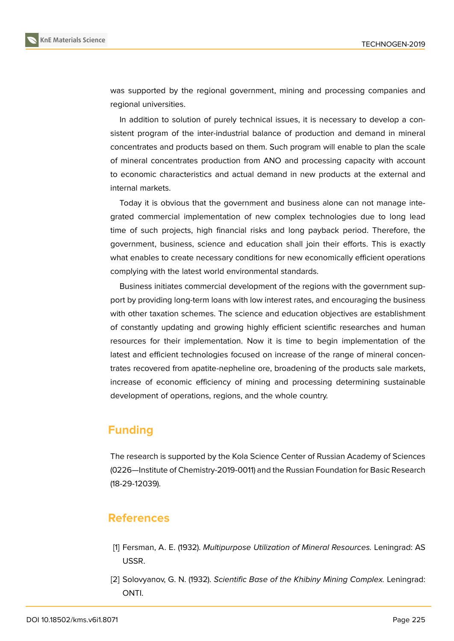was supported by the regional government, mining and processing companies and regional universities.

In addition to solution of purely technical issues, it is necessary to develop a consistent program of the inter-industrial balance of production and demand in mineral concentrates and products based on them. Such program will enable to plan the scale of mineral concentrates production from ANO and processing capacity with account to economic characteristics and actual demand in new products at the external and internal markets.

Today it is obvious that the government and business alone can not manage integrated commercial implementation of new complex technologies due to long lead time of such projects, high financial risks and long payback period. Therefore, the government, business, science and education shall join their efforts. This is exactly what enables to create necessary conditions for new economically efficient operations complying with the latest world environmental standards.

Business initiates commercial development of the regions with the government support by providing long-term loans with low interest rates, and encouraging the business with other taxation schemes. The science and education objectives are establishment of constantly updating and growing highly efficient scientific researches and human resources for their implementation. Now it is time to begin implementation of the latest and efficient technologies focused on increase of the range of mineral concentrates recovered from apatite-nepheline ore, broadening of the products sale markets, increase of economic efficiency of mining and processing determining sustainable development of operations, regions, and the whole country.

## **Funding**

The research is supported by the Kola Science Center of Russian Academy of Sciences (0226—Institute of Chemistry-2019-0011) and the Russian Foundation for Basic Research (18-29-12039).

### **References**

- <span id="page-4-0"></span>[1] Fersman, A. E. (1932). *Multipurpose Utilization of Mineral Resources.* Leningrad: AS USSR.
- <span id="page-4-1"></span>[2] Solovyanov, G. N. (1932). *Scientific Base of the Khibiny Mining Complex.* Leningrad: ONTI.